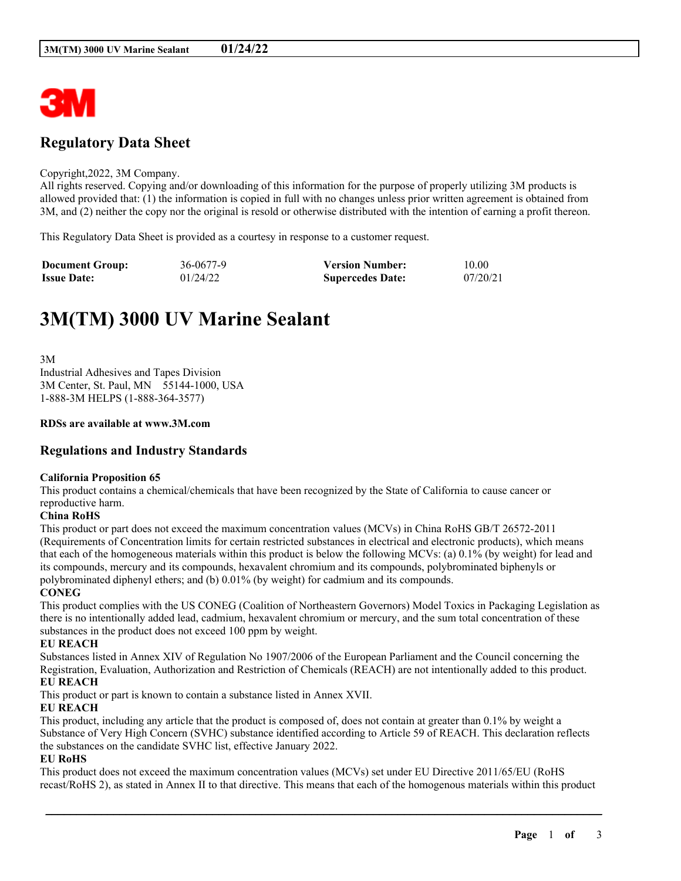

# **Regulatory Data Sheet**

#### Copyright,2022, 3M Company.

All rights reserved. Copying and/or downloading of this information for the purpose of properly utilizing 3M products is allowed provided that: (1) the information is copied in full with no changes unless prior written agreement is obtained from 3M, and (2) neither the copy nor the original is resold or otherwise distributed with the intention of earning a profit thereon.

This Regulatory Data Sheet is provided as a courtesy in response to a customer request.

| <b>Document Group:</b> | 36-0677-9 | <b>Version Number:</b>  | 10.00    |
|------------------------|-----------|-------------------------|----------|
| <b>Issue Date:</b>     | 01/24/22  | <b>Supercedes Date:</b> | 07/20/21 |

# **3M(TM) 3000 UV Marine Sealant**

3M Industrial Adhesives and Tapes Division 3M Center, St. Paul, MN 55144-1000, USA 1-888-3M HELPS (1-888-364-3577)

#### **RDSs are available at www.3M.com**

# **Regulations and Industry Standards**

#### **California Proposition 65**

This product contains a chemical/chemicals that have been recognized by the State of California to cause cancer or reproductive harm.

#### **China RoHS**

This product or part does not exceed the maximum concentration values (MCVs) in China RoHS GB/T 26572-2011 (Requirements of Concentration limits for certain restricted substances in electrical and electronic products), which means that each of the homogeneous materials within this product is below the following MCVs: (a) 0.1% (by weight) for lead and its compounds, mercury and its compounds, hexavalent chromium and its compounds, polybrominated biphenyls or polybrominated diphenyl ethers; and (b) 0.01% (by weight) for cadmium and its compounds.

#### **CONEG**

This product complies with the US CONEG (Coalition of Northeastern Governors) Model Toxics in Packaging Legislation as there is no intentionally added lead, cadmium, hexavalent chromium or mercury, and the sum total concentration of these substances in the product does not exceed 100 ppm by weight.

# **EU REACH**

Substances listed in Annex XIV of Regulation No 1907/2006 of the European Parliament and the Council concerning the Registration, Evaluation, Authorization and Restriction of Chemicals (REACH) are not intentionally added to this product. **EU REACH**

This product or part is known to contain a substance listed in Annex XVII.

# **EU REACH**

This product, including any article that the product is composed of, does not contain at greater than 0.1% by weight a Substance of Very High Concern (SVHC) substance identified according to Article 59 of REACH. This declaration reflects the substances on the candidate SVHC list, effective January 2022.

# **EU RoHS**

This product does not exceed the maximum concentration values (MCVs) set under EU Directive 2011/65/EU (RoHS recast/RoHS 2), as stated in Annex II to that directive. This means that each of the homogenous materials within this product

\_\_\_\_\_\_\_\_\_\_\_\_\_\_\_\_\_\_\_\_\_\_\_\_\_\_\_\_\_\_\_\_\_\_\_\_\_\_\_\_\_\_\_\_\_\_\_\_\_\_\_\_\_\_\_\_\_\_\_\_\_\_\_\_\_\_\_\_\_\_\_\_\_\_\_\_\_\_\_\_\_\_\_\_\_\_\_\_\_\_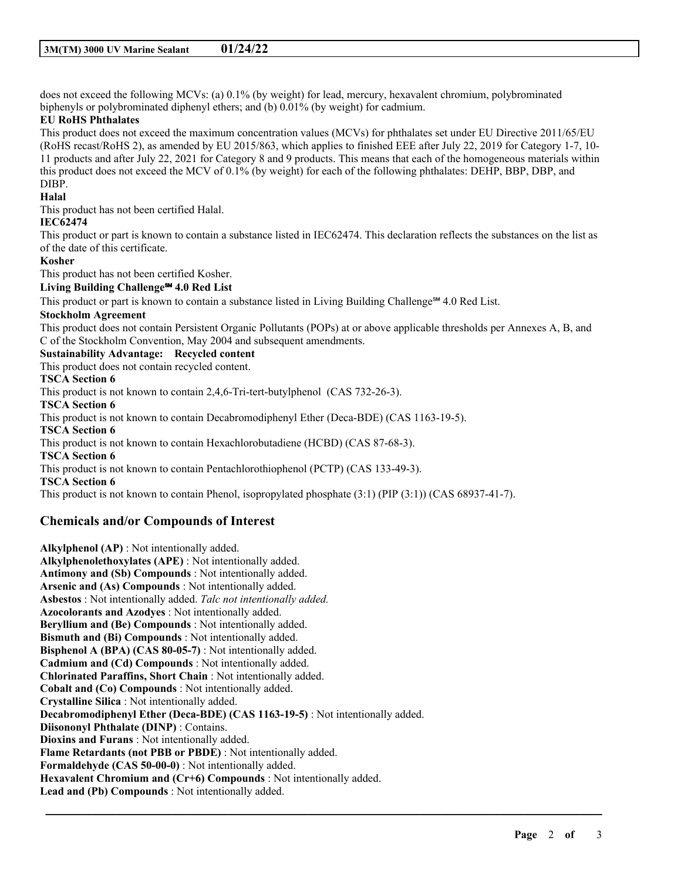does not exceed the following MCVs: (a) 0.1% (by weight) for lead, mercury, hexavalent chromium, polybrominated biphenyls or polybrominated diphenyl ethers; and (b) 0.01% (by weight) for cadmium.

# **EU RoHS Phthalates**

This product does not exceed the maximum concentration values (MCVs) for phthalates set under EU Directive 2011/65/EU (RoHS recast/RoHS 2), as amended by EU 2015/863, which applies to finished EEE after July 22, 2019 for Category 1-7, 10- 11 products and after July 22, 2021 for Category 8 and 9 products. This means that each of the homogeneous materials within this product does not exceed the MCV of 0.1% (by weight) for each of the following phthalates: DEHP, BBP, DBP, and DIBP.

### **Halal**

This product has not been certified Halal.

# **IEC62474**

This product or part is known to contain a substance listed in IEC62474. This declaration reflects the substances on the list as of the date of this certificate.

#### **Kosher**

This product has not been certified Kosher.

# **Living Building Challenge℠ 4.0 Red List**

This product or part is known to contain a substance listed in Living Building Challenge<sup>8M</sup> 4.0 Red List.

#### **Stockholm Agreement**

This product does not contain Persistent Organic Pollutants (POPs) at or above applicable thresholds per Annexes A, B, and C of the Stockholm Convention, May 2004 and subsequent amendments.

\_\_\_\_\_\_\_\_\_\_\_\_\_\_\_\_\_\_\_\_\_\_\_\_\_\_\_\_\_\_\_\_\_\_\_\_\_\_\_\_\_\_\_\_\_\_\_\_\_\_\_\_\_\_\_\_\_\_\_\_\_\_\_\_\_\_\_\_\_\_\_\_\_\_\_\_\_\_\_\_\_\_\_\_\_\_\_\_\_\_

#### **Sustainability Advantage: Recycled content**

This product does not contain recycled content.

# **TSCA Section 6**

This product is not known to contain 2,4,6-Tri-tert-butylphenol (CAS 732-26-3).

**TSCA Section 6**

This product is not known to contain Decabromodiphenyl Ether (Deca-BDE) (CAS 1163-19-5).

**TSCA Section 6**

This product is not known to contain Hexachlorobutadiene (HCBD) (CAS 87-68-3).

#### **TSCA Section 6**

This product is not known to contain Pentachlorothiophenol (PCTP) (CAS 133-49-3).

**TSCA Section 6**

This product is not known to contain Phenol, isopropylated phosphate (3:1) (PIP (3:1)) (CAS 68937-41-7).

# **Chemicals and/or Compounds of Interest**

**Alkylphenol (AP)** : Not intentionally added. **Alkylphenolethoxylates (APE)** : Not intentionally added. **Antimony and (Sb) Compounds** : Not intentionally added. **Arsenic and (As) Compounds** : Not intentionally added. **Asbestos** : Not intentionally added. *Talc not intentionally added.* **Azocolorants and Azodyes** : Not intentionally added. **Beryllium and (Be) Compounds** : Not intentionally added. **Bismuth and (Bi) Compounds** : Not intentionally added. **Bisphenol A (BPA) (CAS 80-05-7)** : Not intentionally added. **Cadmium and (Cd) Compounds** : Not intentionally added. **Chlorinated Paraffins, Short Chain** : Not intentionally added. **Cobalt and (Co) Compounds** : Not intentionally added. **Crystalline Silica** : Not intentionally added. **Decabromodiphenyl Ether (Deca-BDE) (CAS 1163-19-5)** : Not intentionally added. **Diisononyl Phthalate (DINP)** : Contains. **Dioxins and Furans** : Not intentionally added. **Flame Retardants (not PBB or PBDE)** : Not intentionally added. **Formaldehyde (CAS 50-00-0)** : Not intentionally added. **Hexavalent Chromium and (Cr+6) Compounds** : Not intentionally added. **Lead and (Pb) Compounds** : Not intentionally added.